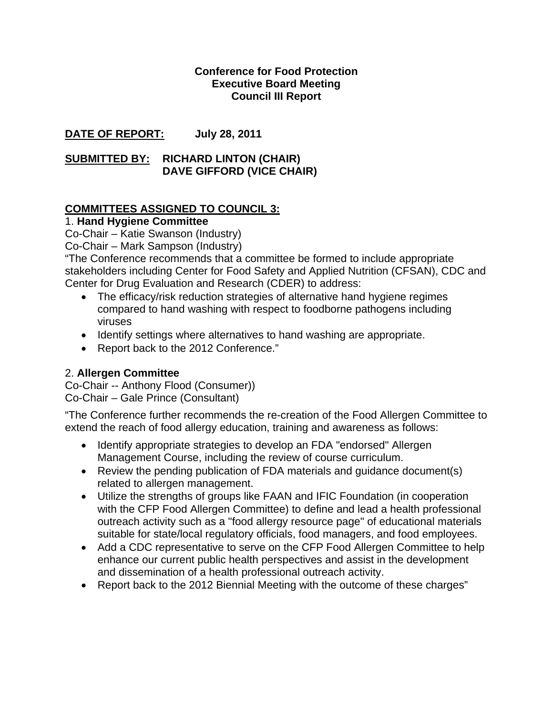### **Conference for Food Protection Executive Board Meeting Council III Report**

## **DATE OF REPORT: July 28, 2011**

### **SUBMITTED BY: RICHARD LINTON (CHAIR) DAVE GIFFORD (VICE CHAIR)**

## **COMMITTEES ASSIGNED TO COUNCIL 3:**

## 1. **Hand Hygiene Committee**

Co-Chair – Katie Swanson (Industry)

Co-Chair – Mark Sampson (Industry)

"The Conference recommends that a committee be formed to include appropriate stakeholders including Center for Food Safety and Applied Nutrition (CFSAN), CDC and Center for Drug Evaluation and Research (CDER) to address:

- The efficacy/risk reduction strategies of alternative hand hygiene regimes compared to hand washing with respect to foodborne pathogens including viruses
- Identify settings where alternatives to hand washing are appropriate.
- Report back to the 2012 Conference."

## 2. **Allergen Committee**

Co-Chair -- Anthony Flood (Consumer)) Co-Chair – Gale Prince (Consultant)

"The Conference further recommends the re-creation of the Food Allergen Committee to extend the reach of food allergy education, training and awareness as follows:

- Identify appropriate strategies to develop an FDA "endorsed" Allergen Management Course, including the review of course curriculum.
- Review the pending publication of FDA materials and guidance document(s) related to allergen management.
- Utilize the strengths of groups like FAAN and IFIC Foundation (in cooperation with the CFP Food Allergen Committee) to define and lead a health professional outreach activity such as a "food allergy resource page" of educational materials suitable for state/local regulatory officials, food managers, and food employees.
- Add a CDC representative to serve on the CFP Food Allergen Committee to help enhance our current public health perspectives and assist in the development and dissemination of a health professional outreach activity.
- Report back to the 2012 Biennial Meeting with the outcome of these charges"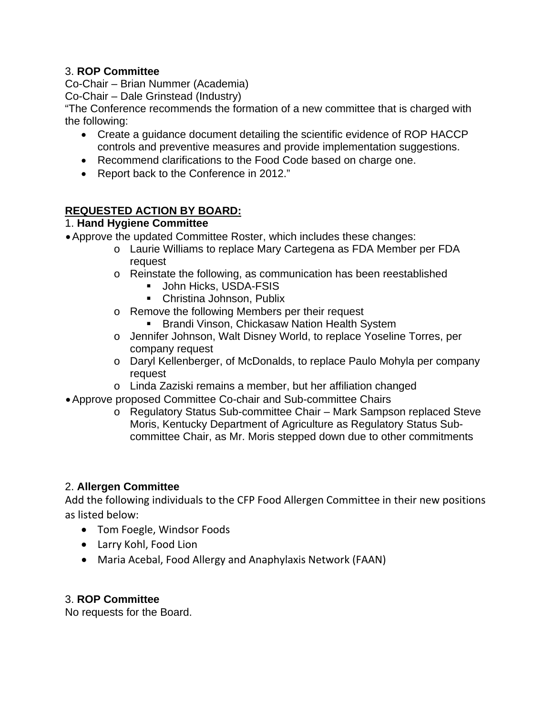## 3. **ROP Committee**

Co-Chair – Brian Nummer (Academia)

Co-Chair – Dale Grinstead (Industry)

"The Conference recommends the formation of a new committee that is charged with the following:

- Create a guidance document detailing the scientific evidence of ROP HACCP controls and preventive measures and provide implementation suggestions.
- Recommend clarifications to the Food Code based on charge one.
- Report back to the Conference in 2012."

# **REQUESTED ACTION BY BOARD:**

## 1. **Hand Hygiene Committee**

• Approve the updated Committee Roster, which includes these changes:

- o Laurie Williams to replace Mary Cartegena as FDA Member per FDA request
- o Reinstate the following, as communication has been reestablished
	- **John Hicks, USDA-FSIS**
	- **Christina Johnson, Publix**
- o Remove the following Members per their request
	- **Brandi Vinson, Chickasaw Nation Health System**
- o Jennifer Johnson, Walt Disney World, to replace Yoseline Torres, per company request
- o Daryl Kellenberger, of McDonalds, to replace Paulo Mohyla per company request
- o Linda Zaziski remains a member, but her affiliation changed
- Approve proposed Committee Co-chair and Sub-committee Chairs
	- o Regulatory Status Sub-committee Chair Mark Sampson replaced Steve Moris, Kentucky Department of Agriculture as Regulatory Status Subcommittee Chair, as Mr. Moris stepped down due to other commitments

# 2. **Allergen Committee**

Add the following individuals to the CFP Food Allergen Committee in their new positions as listed below:

- Tom Foegle, Windsor Foods
- Larry Kohl, Food Lion
- Maria Acebal, Food Allergy and Anaphylaxis Network (FAAN)

## 3. **ROP Committee**

No requests for the Board.